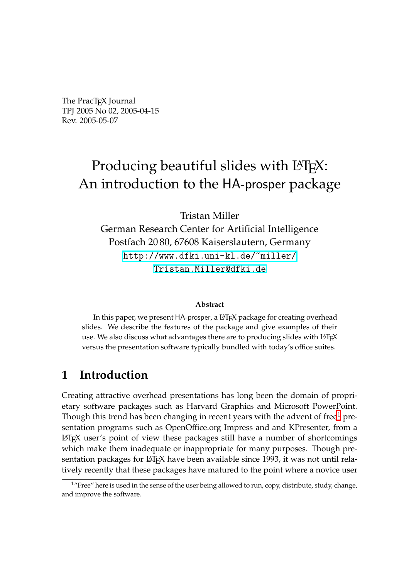The PracT<sub>E</sub>X Journal TPJ 2005 No 02, 2005-04-15 Rev. 2005-05-07

# Producing beautiful slides with LATEX: An introduction to the HA-prosper package

Tristan Miller

German Research Center for Artificial Intelligence Postfach 20 80, 67608 Kaiserslautern, Germany <http://www.dfki.uni-kl.de/~miller/> [Tristan.Miller@dfki.de](mailto:Tristan.Miller@dfki.de)

#### **Abstract**

In this paper, we present HA-prosper, a LAT<sub>E</sub>X package for creating overhead slides. We describe the features of the package and give examples of their use. We also discuss what advantages there are to producing slides with L<sup>AT</sup>FX versus the presentation software typically bundled with today's office suites.

### **1 Introduction**

Creating attractive overhead presentations has long been the domain of proprietary software packages such as Harvard Graphics and Microsoft PowerPoint. Though this trend has been changing in recent years with the advent of free<sup>[1](#page-0-0)</sup> presentation programs such as OpenOffice.org Impress and and KPresenter, from a LATEX user's point of view these packages still have a number of shortcomings which make them inadequate or inappropriate for many purposes. Though presentation packages for LAT<sub>E</sub>X have been available since 1993, it was not until relatively recently that these packages have matured to the point where a novice user

<span id="page-0-0"></span> $1$ <sup>"</sup>Free" here is used in the sense of the user being allowed to run, copy, distribute, study, change, and improve the software.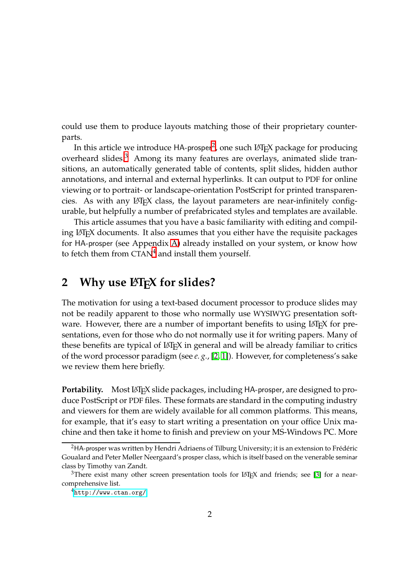could use them to produce layouts matching those of their proprietary counterparts.

In this article we introduce HA-prosper<sup>[2](#page-1-0)</sup>, one such  $\mathbb{E} \mathbb{E} X$  package for producing overheard slides.[3](#page-1-1) Among its many features are overlays, animated slide transitions, an automatically generated table of contents, split slides, hidden author annotations, and internal and external hyperlinks. It can output to PDF for online viewing or to portrait- or landscape-orientation PostScript for printed transparencies. As with any  $L^{\text{th}}$  class, the layout parameters are near-infinitely configurable, but helpfully a number of prefabricated styles and templates are available.

This article assumes that you have a basic familiarity with editing and compiling LATEX documents. It also assumes that you either have the requisite packages for HA-prosper (see Appendix [A\)](#page-15-0) already installed on your system, or know how to fetch them from  $CTAN<sup>4</sup>$  $CTAN<sup>4</sup>$  $CTAN<sup>4</sup>$  and install them yourself.

### **2 Why use LATEX for slides?**

The motivation for using a text-based document processor to produce slides may not be readily apparent to those who normally use WYSIWYG presentation software. However, there are a number of important benefits to using LAT<sub>E</sub>X for presentations, even for those who do not normally use it for writing papers. Many of these benefits are typical of LAT<sub>E</sub>X in general and will be already familiar to critics of the word processor paradigm (see *e. g.*, [\[2,](#page-19-0) [1\]](#page-19-1)). However, for completeness's sake we review them here briefly.

**Portability.** Most LAT<sub>E</sub>X slide packages, including HA-prosper, are designed to produce PostScript or PDF files. These formats are standard in the computing industry and viewers for them are widely available for all common platforms. This means, for example, that it's easy to start writing a presentation on your office Unix machine and then take it home to finish and preview on your MS-Windows PC. More

<span id="page-1-0"></span><sup>&</sup>lt;sup>2</sup>HA-prosper was written by Hendri Adriaens of Tilburg University; it is an extension to Frédéric Goualard and Peter Møller Neergaard's prosper class, which is itself based on the venerable seminar class by Timothy van Zandt.

<span id="page-1-2"></span><span id="page-1-1"></span> $3$ There exist many other screen presentation tools for LAT<sub>E</sub>X and friends; see [\[3\]](#page-19-2) for a nearcomprehensive list.

<sup>4</sup><http://www.ctan.org/>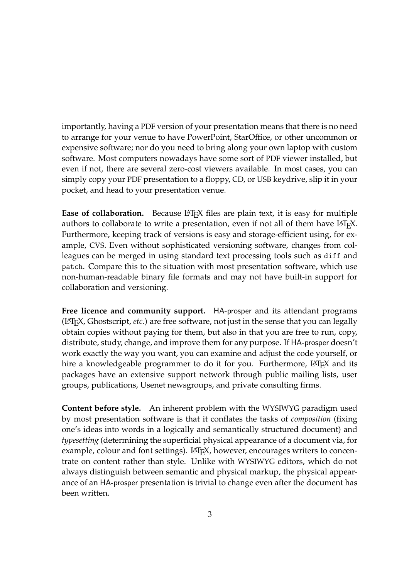importantly, having a PDF version of your presentation means that there is no need to arrange for your venue to have PowerPoint, StarOffice, or other uncommon or expensive software; nor do you need to bring along your own laptop with custom software. Most computers nowadays have some sort of PDF viewer installed, but even if not, there are several zero-cost viewers available. In most cases, you can simply copy your PDF presentation to a floppy, CD, or USB keydrive, slip it in your pocket, and head to your presentation venue.

**Ease of collaboration.** Because LAT<sub>E</sub>X files are plain text, it is easy for multiple authors to collaborate to write a presentation, even if not all of them have LAT<sub>E</sub>X. Furthermore, keeping track of versions is easy and storage-efficient using, for example, CVS. Even without sophisticated versioning software, changes from colleagues can be merged in using standard text processing tools such as diff and patch. Compare this to the situation with most presentation software, which use non-human-readable binary file formats and may not have built-in support for collaboration and versioning.

**Free licence and community support.** HA-prosper and its attendant programs (LATEX, Ghostscript, *etc.*) are free software, not just in the sense that you can legally obtain copies without paying for them, but also in that you are free to run, copy, distribute, study, change, and improve them for any purpose. If HA-prosper doesn't work exactly the way you want, you can examine and adjust the code yourself, or hire a knowledgeable programmer to do it for you. Furthermore, LAT<sub>E</sub>X and its packages have an extensive support network through public mailing lists, user groups, publications, Usenet newsgroups, and private consulting firms.

**Content before style.** An inherent problem with the WYSIWYG paradigm used by most presentation software is that it conflates the tasks of *composition* (fixing one's ideas into words in a logically and semantically structured document) and *typesetting* (determining the superficial physical appearance of a document via, for example, colour and font settings). LAT<sub>E</sub>X, however, encourages writers to concentrate on content rather than style. Unlike with WYSIWYG editors, which do not always distinguish between semantic and physical markup, the physical appearance of an HA-prosper presentation is trivial to change even after the document has been written.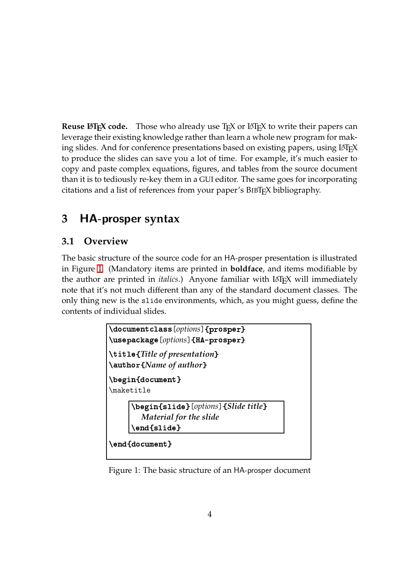**Reuse LATEX** code. Those who already use TEX or LATEX to write their papers can leverage their existing knowledge rather than learn a whole new program for making slides. And for conference presentations based on existing papers, using LATEX to produce the slides can save you a lot of time. For example, it's much easier to copy and paste complex equations, figures, and tables from the source document than it is to tediously re-key them in a GUI editor. The same goes for incorporating citations and a list of references from your paper's BIBTEX bibliography.

### **3** HA-prosper **syntax**

### **3.1 Overview**

The basic structure of the source code for an HA-prosper presentation is illustrated in Figure [1.](#page-3-0) (Mandatory items are printed in **boldface**, and items modifiable by the author are printed in *italics*.) Anyone familiar with LAT<sub>E</sub>X will immediately note that it's not much different than any of the standard document classes. The only thing new is the slide environments, which, as you might guess, define the contents of individual slides.

| \documentclass[options]{prosper}<br>\usepackage [options] {HA-prosper}      |
|-----------------------------------------------------------------------------|
| \title{Title of presentation}<br>\author{Name of author}                    |
| \begin{document}<br>\maketitle                                              |
| \begin{slide}[options]{Slide title}<br>Material for the slide<br>end{slide} |
| \end{document}                                                              |

<span id="page-3-0"></span>Figure 1: The basic structure of an HA-prosper document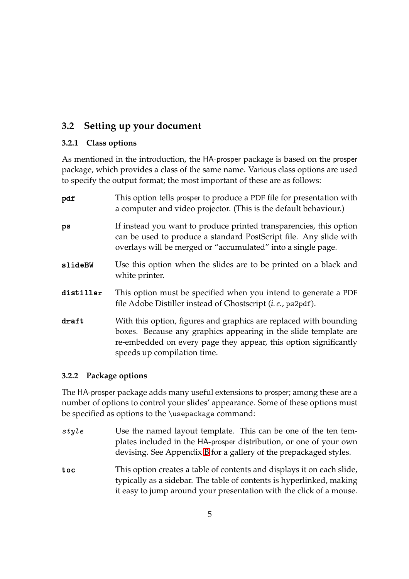### **3.2 Setting up your document**

#### **3.2.1 Class options**

As mentioned in the introduction, the HA-prosper package is based on the prosper package, which provides a class of the same name. Various class options are used to specify the output format; the most important of these are as follows:

| pdf       | This option tells prosper to produce a PDF file for presentation with<br>a computer and video projector. (This is the default behaviour.)                                                                                               |
|-----------|-----------------------------------------------------------------------------------------------------------------------------------------------------------------------------------------------------------------------------------------|
| ps        | If instead you want to produce printed transparencies, this option<br>can be used to produce a standard PostScript file. Any slide with<br>overlays will be merged or "accumulated" into a single page.                                 |
| slideBW   | Use this option when the slides are to be printed on a black and<br>white printer.                                                                                                                                                      |
| distiller | This option must be specified when you intend to generate a PDF<br>file Adobe Distiller instead of Ghostscript ( <i>i.e.</i> , ps2pdf).                                                                                                 |
| draft     | With this option, figures and graphics are replaced with bounding<br>boxes. Because any graphics appearing in the slide template are<br>re-embedded on every page they appear, this option significantly<br>speeds up compilation time. |

#### <span id="page-4-0"></span>**3.2.2 Package options**

The HA-prosper package adds many useful extensions to prosper; among these are a number of options to control your slides' appearance. Some of these options must be specified as options to the \usepackage command:

- style Use the named layout template. This can be one of the ten templates included in the HA-prosper distribution, or one of your own devising. See Appendix [B](#page-16-0) for a gallery of the prepackaged styles.
- This option creates a table of contents and displays it on each slide, typically as a sidebar. The table of contents is hyperlinked, making it easy to jump around your presentation with the click of a mouse.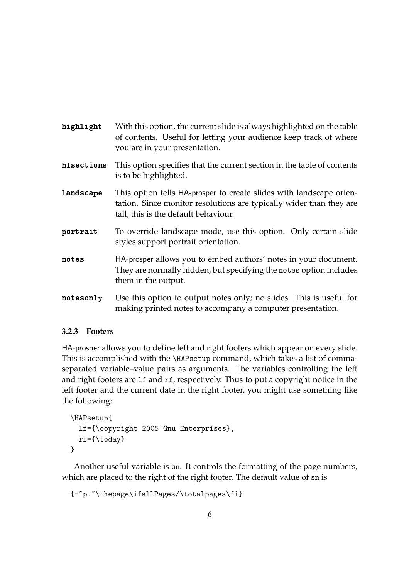- **highlight** With this option, the current slide is always highlighted on the table of contents. Useful for letting your audience keep track of where you are in your presentation.
- hlsections This option specifies that the current section in the table of contents is to be highlighted.
- en de la provincia de la provincia de la provincia de la provincia de la provincia de la provincia de la provi<br>La provincia de la provincia de la provincia de la provincia de la provincia de la provincia de la provincia d ape This option tells HA-prosper to create slides with landscape orientation. Since monitor resolutions are typically wider than they are tall, this is the default behaviour.
- --------To override landscape mode, use this option. Only certain slide styles support portrait orientation.
- HA-prosper allows you to embed authors' notes in your document. They are normally hidden, but specifying the notes option includes them in the output.
- notesonly 
 Use this option to output notes only; no slides. This is useful for making printed notes to accompany a computer presentation.

#### **3.2.3 Footers**

HA-prosper allows you to define left and right footers which appear on every slide. This is accomplished with the \HAPsetup command, which takes a list of commaseparated variable–value pairs as arguments. The variables controlling the left and right footers are lf and rf, respectively. Thus to put a copyright notice in the left footer and the current date in the right footer, you might use something like the following:

```
\HAPsetup{
  lf={\copyright 2005 Gnu Enterprises},
  rf={\today}
}
```
Another useful variable is sn. It controls the formatting of the page numbers, which are placed to the right of the right footer. The default value of sn is

```
{-~p.~\thepage\ifallPages/\totalpages\fi}
```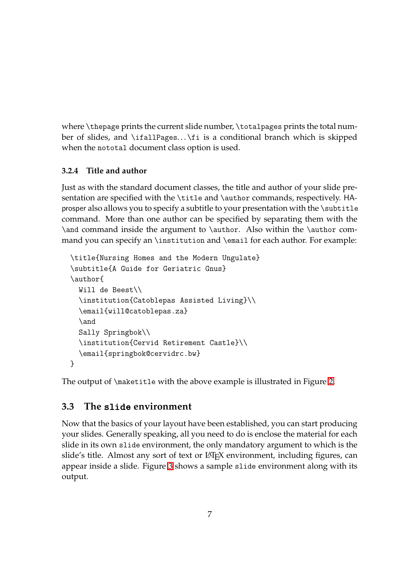where \thepage prints the current slide number, \totalpages prints the total number of slides, and \ifallPages. . . \fi is a conditional branch which is skipped when the nototal document class option is used.

### **3.2.4 Title and author**

Just as with the standard document classes, the title and author of your slide presentation are specified with the \title and \author commands, respectively. HAprosper also allows you to specify a subtitle to your presentation with the \subtitle command. More than one author can be specified by separating them with the \and command inside the argument to \author. Also within the \author command you can specify an \institution and \email for each author. For example:

```
\title{Nursing Homes and the Modern Ungulate}
\subtitle{A Guide for Geriatric Gnus}
\author{
  Will de Beest\\
  \institution{Catoblepas Assisted Living}\\
  \email{will@catoblepas.za}
  \and
  Sally Springbok\\
  \institution{Cervid Retirement Castle}\\
  \email{springbok@cervidrc.bw}
}
```
The output of \maketitle with the above example is illustrated in Figure [2.](#page-7-0)

### **3.3** The slide environment

Now that the basics of your layout have been established, you can start producing your slides. Generally speaking, all you need to do is enclose the material for each slide in its own slide environment, the only mandatory argument to which is the slide's title. Almost any sort of text or LAT<sub>E</sub>X environment, including figures, can appear inside a slide. Figure [3](#page-7-1) shows a sample slide environment along with its output.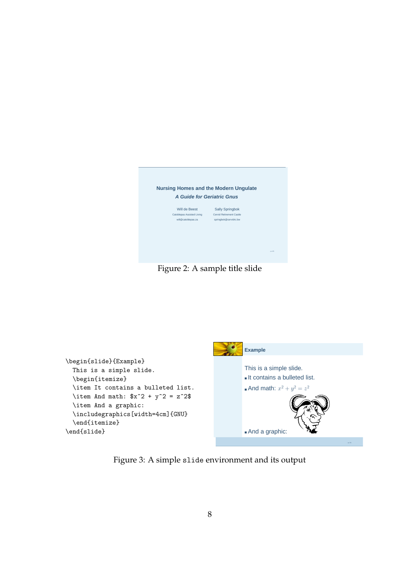<span id="page-7-0"></span>

Figure 2: A sample title slide



<span id="page-7-1"></span>Figure 3: A simple slide environment and its output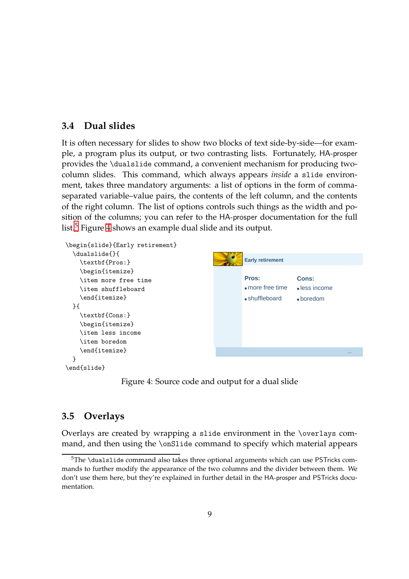#### **3.4 Dual slides**

It is often necessary for slides to show two blocks of text side-by-side—for example, a program plus its output, or two contrasting lists. Fortunately, HA-prosper provides the \dualslide command, a convenient mechanism for producing twocolumn slides. This command, which always appears *inside* a slide environment, takes three mandatory arguments: a list of options in the form of commaseparated variable–value pairs, the contents of the left column, and the contents of the right column. The list of options controls such things as the width and position of the columns; you can refer to the HA-prosper documentation for the full list.<sup>[5](#page-8-0)</sup> Figure [4](#page-8-1) shows an example dual slide and its output.

| \begin{slide}{Early retirement} |                               |                            |         |
|---------------------------------|-------------------------------|----------------------------|---------|
| \dualslide{}{                   |                               |                            |         |
| \textbf{Pros:}                  | <b>Early retirement</b>       |                            |         |
| \begin{itemize}                 |                               |                            |         |
| \item more free time            | Pros:                         | Cons:                      |         |
| \item shuffleboard              | $\blacksquare$ more free time | $\blacksquare$ less income |         |
| \end{itemize}                   | • shuffleboard                | - boredom                  |         |
| λł                              |                               |                            |         |
| \textbf{Cons:}                  |                               |                            |         |
| \begin{itemize}                 |                               |                            |         |
| \item less income               |                               |                            |         |
| \item boredom                   |                               |                            |         |
| \end{itemize}                   |                               |                            | -p. 1/1 |
| ł                               |                               |                            |         |
| \end{slide}                     |                               |                            |         |

<span id="page-8-1"></span>Figure 4: Source code and output for a dual slide

#### **3.5 Overlays**

Overlays are created by wrapping a slide environment in the \overlays command, and then using the \onSlide command to specify which material appears

<span id="page-8-0"></span><sup>&</sup>lt;sup>5</sup>The \dualslide command also takes three optional arguments which can use PSTricks commands to further modify the appearance of the two columns and the divider between them. We don't use them here, but they're explained in further detail in the HA-prosper and PSTricks documentation.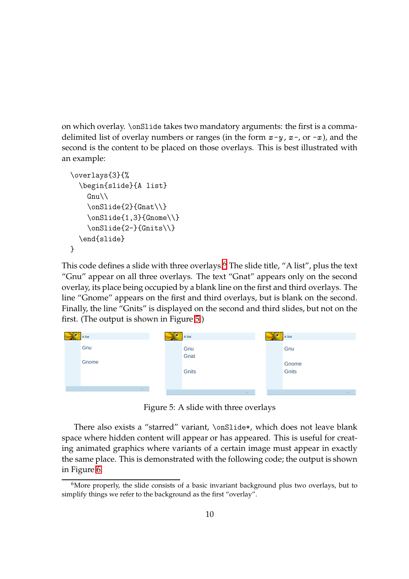on which overlay. \onSlide takes two mandatory arguments: the first is a commadelimited list of overlay numbers or ranges (in the form  $x-y$ ,  $x-$ , or  $-x$ ), and the second is the content to be placed on those overlays. This is best illustrated with an example:

```
\overlays{3}{%
  \begin{slide}{A list}
    Gnu\setminus\onSlide{2}{Gnat\\}
    \onSlide{1,3}{Gnome}\\onSlide{2-}{Gnits\\}
  \end{slide}
}
```
This code defines a slide with three overlays.<sup>[6](#page-9-0)</sup> The slide title, "A list", plus the text "Gnu" appear on all three overlays. The text "Gnat" appears only on the second overlay, its place being occupied by a blank line on the first and third overlays. The line "Gnome" appears on the first and third overlays, but is blank on the second. Finally, the line "Gnits" is displayed on the second and third slides, but not on the first. (The output is shown in Figure [5.](#page-9-1))

| A list      | A list        | A list |
|-------------|---------------|--------|
| Gnu         | Gnu<br>Gnat   | Gnu    |
| Gnome       |               | Gnome  |
|             | Gnits         | Gnits  |
| $\sim 1000$ | $\sim 0.05$ . | sport. |

<span id="page-9-1"></span>Figure 5: A slide with three overlays

There also exists a "starred" variant, \onSlide\*, which does not leave blank space where hidden content will appear or has appeared. This is useful for creating animated graphics where variants of a certain image must appear in exactly the same place. This is demonstrated with the following code; the output is shown in Figure [6.](#page-10-0)

<span id="page-9-0"></span> $6$ More properly, the slide consists of a basic invariant background plus two overlays, but to simplify things we refer to the background as the first "overlay".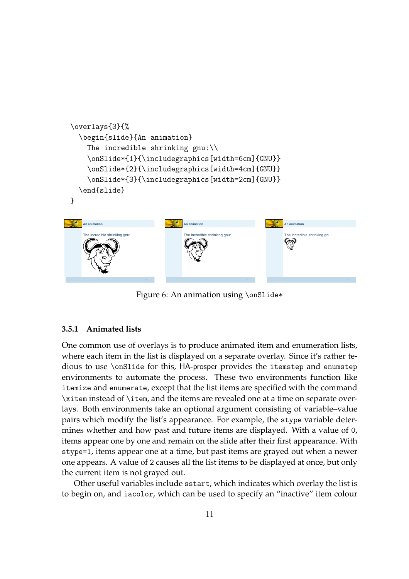```
\overlays{3}{%
  \begin{slide}{An animation}
     The incredible shrinking gnu:\\
     \onSlide*{1}{\includegraphics[width=6cm]{GNU}}
     \onSlide*{2}{\includegraphics[width=4cm]{GNU}}
     \onSlide*{3}{\includegraphics[width=2cm]{GNU}}
  \end{slide}
}
    An animation
              ing gnu
                                  An animation
                                    incredible shrinking gnu
                                                                An animation
                                                                 The incredible shrinking gnu:
```
<span id="page-10-0"></span>Figure 6: An animation using \onSlide\*

#### **3.5.1 Animated lists**

One common use of overlays is to produce animated item and enumeration lists, where each item in the list is displayed on a separate overlay. Since it's rather tedious to use \onSlide for this, HA-prosper provides the itemstep and enumstep environments to automate the process. These two environments function like itemize and enumerate, except that the list items are specified with the command \xitem instead of \item, and the items are revealed one at a time on separate overlays. Both environments take an optional argument consisting of variable–value pairs which modify the list's appearance. For example, the stype variable determines whether and how past and future items are displayed. With a value of 0, items appear one by one and remain on the slide after their first appearance. With stype=1, items appear one at a time, but past items are grayed out when a newer one appears. A value of 2 causes all the list items to be displayed at once, but only the current item is not grayed out.

Other useful variables include sstart, which indicates which overlay the list is to begin on, and iacolor, which can be used to specify an "inactive" item colour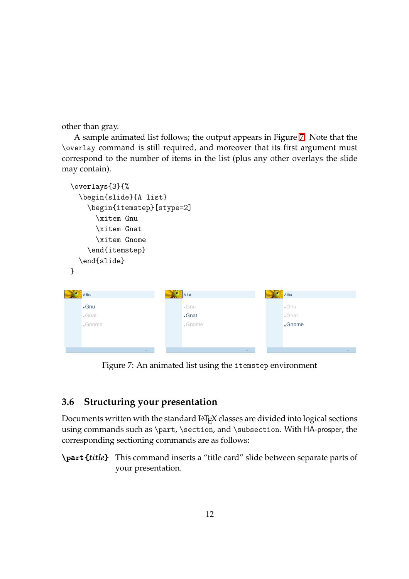other than gray.

A sample animated list follows; the output appears in Figure [7.](#page-11-0) Note that the \overlay command is still required, and moreover that its first argument must correspond to the number of items in the list (plus any other overlays the slide may contain).

|   | \overlays{3}{%            |         |         |
|---|---------------------------|---------|---------|
|   | \begin{slide}{A list}     |         |         |
|   | \begin{itemstep}[stype=2] |         |         |
|   | \xitem Gnu                |         |         |
|   | \xitem Gnat               |         |         |
|   | \xitem Gnome              |         |         |
|   | \end{itemstep}            |         |         |
|   | \end{slide}               |         |         |
| } |                           |         |         |
|   |                           |         |         |
|   | A list                    | A list  | A list  |
|   | $-Gnu$                    | - Gnu   | - Gnu   |
|   | .Gnat                     | .Gnat   | .Gnat   |
|   | - Gnome                   | - Gnome | - Gnome |
|   |                           |         |         |
|   |                           |         |         |
|   |                           |         |         |

<span id="page-11-0"></span>Figure 7: An animated list using the itemstep environment

### **3.6 Structuring your presentation**

Documents written with the standard LAT<sub>E</sub>X classes are divided into logical sections using commands such as \part, \section, and \subsection. With HA-prosper, the corresponding sectioning commands are as follows:

\part{*title*}\_ \_ \_ \_ \_ \_ \_ \_ \_ **t**{*title*} This command inserts a "title card" slide between separate parts of your presentation.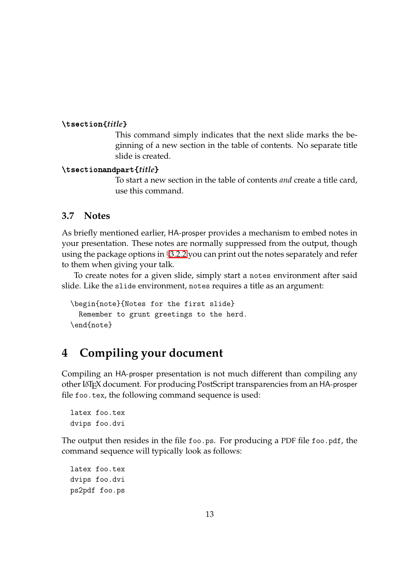#### \tsection{*title*}

This command simply indicates that the next slide marks the beginning of a new section in the table of contents. No separate title slide is created.

#### $\verb|\tsection|$  and  $\verb|part|$  fitle  $\verb|}$ \_ \_ \_ \_ \_ \_ \_ \_ *title*

To start a new section in the table of contents *and* create a title card, use this command.

#### **3.7 Notes**

As briefly mentioned earlier, HA-prosper provides a mechanism to embed notes in your presentation. These notes are normally suppressed from the output, though using the package options in §[3.2.2](#page-4-0) you can print out the notes separately and refer to them when giving your talk.

To create notes for a given slide, simply start a notes environment after said slide. Like the slide environment, notes requires a title as an argument:

```
\begin{note}{Notes for the first slide}
  Remember to grunt greetings to the herd.
\end{note}
```
### **4 Compiling your document**

Compiling an HA-prosper presentation is not much different than compiling any other LATEX document. For producing PostScript transparencies from an HA-prosper file foo.tex, the following command sequence is used:

latex foo.tex dvips foo.dvi

The output then resides in the file foo.ps. For producing a PDF file foo.pdf, the command sequence will typically look as follows:

latex foo.tex dvips foo.dvi ps2pdf foo.ps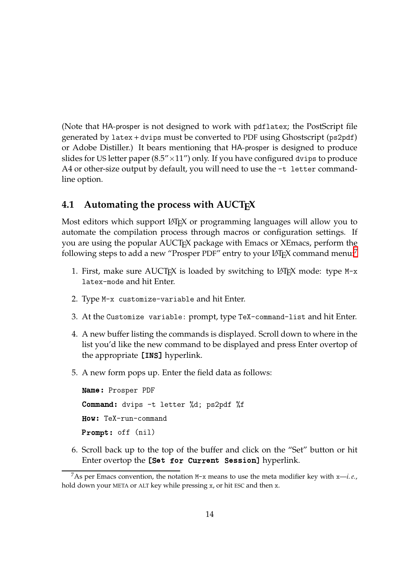(Note that HA-prosper is not designed to work with pdflatex; the PostScript file generated by latex + dvips must be converted to PDF using Ghostscript (ps2pdf) or Adobe Distiller.) It bears mentioning that HA-prosper is designed to produce slides for US letter paper  $(8.5'' \times 11'')$  only. If you have configured dvips to produce A4 or other-size output by default, you will need to use the -t letter commandline option.

### **4.1 Automating the process with AUCTEX**

Most editors which support LAT<sub>EX</sub> or programming languages will allow you to automate the compilation process through macros or configuration settings. If you are using the popular AUCT<sub>E</sub>X package with Emacs or XEmacs, perform the following steps to add a new "Prosper PDF" entry to your  $LATFX$  command menu:<sup>[7](#page-13-0)</sup>

- 1. First, make sure AUCTEX is loaded by switching to  $\mathbb{F}E[X]$  mode: type M-x latex-mode and hit Enter.
- 2. Type M-x customize-variable and hit Enter.
- 3. At the Customize variable: prompt, type TeX-command-list and hit Enter.
- 4. A new buffer listing the commands is displayed. Scroll down to where in the list you'd like the new command to be displayed and press Enter overtop of the appropriate [INS] hyperlink.
- 5. A new form pops up. Enter the field data as follows:

```
ame: Prosper PDF
Command: dvips -t letter %d; ps2pdf %f
How: TeX-run-command
Prompt: of:

     \mathsf{pt} \colon \mathsf{off} \>\> (\mathsf{nil})
```
6. Scroll back up to the top of the buffer and click on the "Set" button or hit Enter overtop the [Set for Curre Current Session] hyperlink.

<span id="page-13-0"></span><sup>&</sup>lt;sup>7</sup>As per Emacs convention, the notation  $M-x$  means to use the meta modifier key with  $x$ —*i.e.*, hold down your META or ALT key while pressing x, or hit ESC and then x.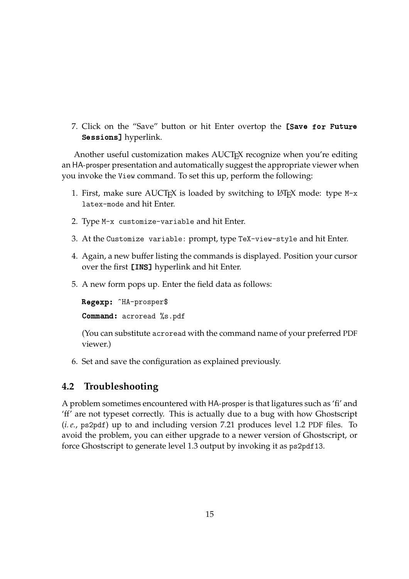7. Click on the "Save" button or hit Enter overtop the **[Save for Future essions]** hyperlink.

Another useful customization makes AUCT<sub>E</sub>X recognize when you're editing an HA-prosper presentation and automatically suggest the appropriate viewer when you invoke the View command. To set this up, perform the following:

- 1. First, make sure AUCT<sub>E</sub>X is loaded by switching to LAT<sub>E</sub>X mode: type  $M-x$ latex-mode and hit Enter.
- 2. Type M-x customize-variable and hit Enter.
- 3. At the Customize variable: prompt, type TeX-view-style and hit Enter.
- 4. Again, a new buffer listing the commands is displayed. Position your cursor over the first [INS] hyperlink and hit Enter.
- 5. A new form pops up. Enter the field data as follows:

**Regexp:** ^HA-prosper\$ Command: acroread %s.pdf

(You can substitute acroread with the command name of your preferred PDF viewer.)

6. Set and save the configuration as explained previously.

#### **4.2 Troubleshooting**

A problem sometimes encountered with HA-prosper is that ligatures such as 'fi' and 'ff' are not typeset correctly. This is actually due to a bug with how Ghostscript (*i.e.*, ps2pdf) up to and including version 7.21 produces level 1.2 PDF files. To avoid the problem, you can either upgrade to a newer version of Ghostscript, or force Ghostscript to generate level 1.3 output by invoking it as ps2pdf13.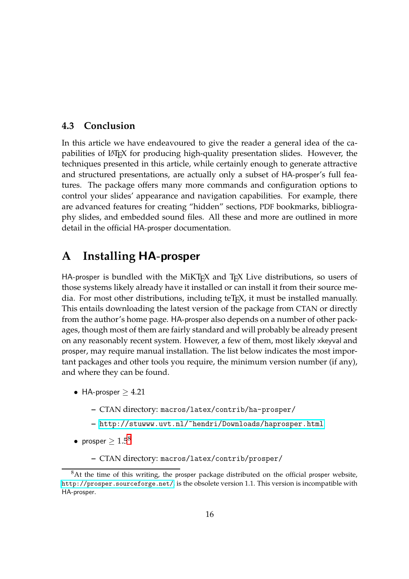#### **4.3 Conclusion**

In this article we have endeavoured to give the reader a general idea of the capabilities of LATEX for producing high-quality presentation slides. However, the techniques presented in this article, while certainly enough to generate attractive and structured presentations, are actually only a subset of HA-prosper's full features. The package offers many more commands and configuration options to control your slides' appearance and navigation capabilities. For example, there are advanced features for creating "hidden" sections, PDF bookmarks, bibliography slides, and embedded sound files. All these and more are outlined in more detail in the official HA-prosper documentation.

### <span id="page-15-0"></span>**A Installing** HA-prosper

HA-prosper is bundled with the MiKTEX and TEX Live distributions, so users of those systems likely already have it installed or can install it from their source media. For most other distributions, including teT<sub>F</sub>X, it must be installed manually. This entails downloading the latest version of the package from CTAN or directly from the author's home page. HA-prosper also depends on a number of other packages, though most of them are fairly standard and will probably be already present on any reasonably recent system. However, a few of them, most likely xkeyval and prosper, may require manual installation. The list below indicates the most important packages and other tools you require, the minimum version number (if any), and where they can be found.

- HA-prosper  $> 4.21$ 
	- **–** CTAN directory: macros/latex/contrib/ha-prosper/
	- **–** <http://stuwww.uvt.nl/~hendri/Downloads/haprosper.html>
- prosper  $> 1.5^8$  $> 1.5^8$ 
	- **–** CTAN directory: macros/latex/contrib/prosper/

<span id="page-15-1"></span> $8$ At the time of this writing, the prosper package distributed on the official prosper website, <http://prosper.sourceforge.net/>, is the obsolete version 1.1. This version is incompatible with HA-prosper.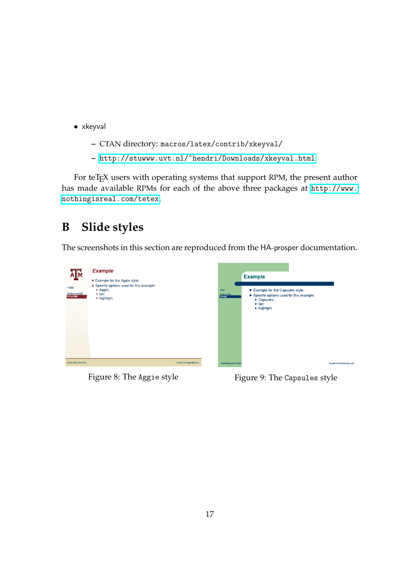- xkeyval
	- **–** CTAN directory: macros/latex/contrib/xkeyval/
	- **–** <http://stuwww.uvt.nl/~hendri/Downloads/xkeyval.html>

For teT<sub>F</sub>X users with operating systems that support RPM, the present author has made available RPMs for each of the above three packages at [http://www.](http://www.nothingisreal.com/tetex) [nothingisreal.com/tetex](http://www.nothingisreal.com/tetex).

## <span id="page-16-0"></span>**B Slide styles**

The screenshots in this section are reproduced from the HA-prosper documentation.





Figure 8: The Aggie style Figure 9: The Capsules style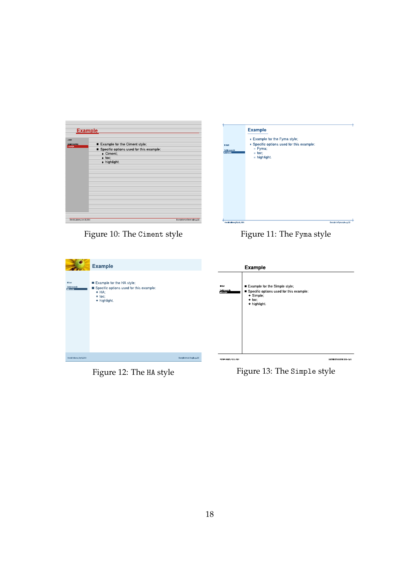



Figure 10: The Ciment style Figure 11: The Fyma style



Figure 12: The HA style Figure 13: The Simple style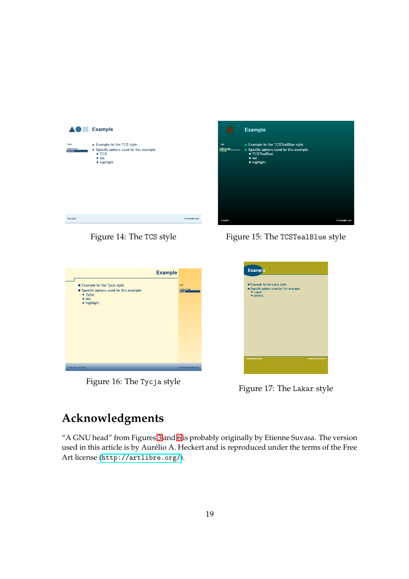



Figure 16: The Tycja style



Figure 14: The TCS style Figure 15: The TCSTealBlue style

| <b>Example</b>                                                                                                     |                               |
|--------------------------------------------------------------------------------------------------------------------|-------------------------------|
| Example for the Lakar style;<br>Specific options used for this example:<br>$\bullet$ Lakar;<br>$\bullet$ portrait. |                               |
|                                                                                                                    |                               |
|                                                                                                                    |                               |
| Hindi Attion, My 8, 204                                                                                            | Dorigh forth Leonigh - p. 252 |

Figure 17: The Lakar style

# **Acknowledgments**

"A GNU head" from Figures [3](#page-7-1) and [6](#page-10-0) is probably originally by Etienne Suvasa. The version used in this article is by Aurélio A. Heckert and is reproduced under the terms of the Free Art license (<http://artlibre.org/>).